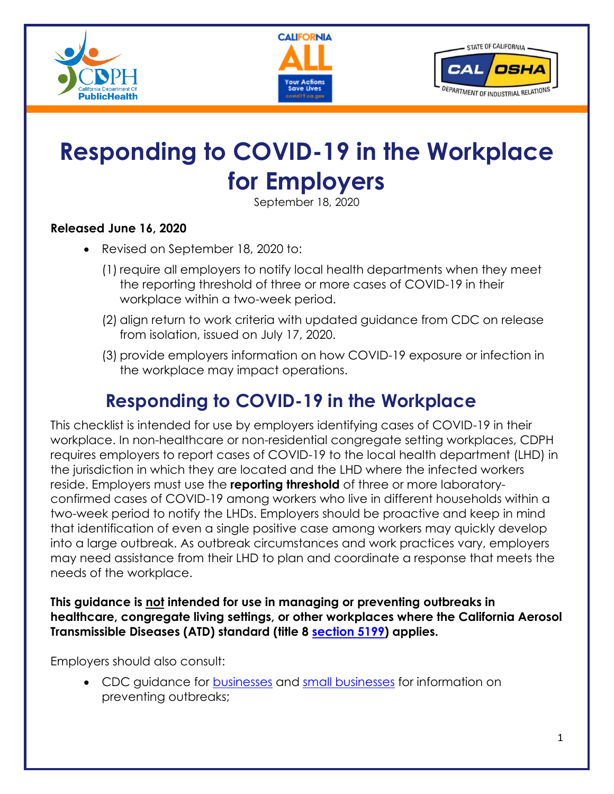





# **Responding to COVID-19 in the Workplace for Employers**

September 18, 2020

#### **Released June 16, 2020**

- Revised on September 18, 2020 to:
	- (1) require all employers to notify local health departments when they meet the reporting threshold of three or more cases of COVID-19 in their workplace within a two-week period.
	- (2) align return to work criteria with updated guidance from CDC on release from isolation, issued on July 17, 2020.
	- (3) provide employers information on how COVID-19 exposure or infection in the workplace may impact operations.

# **Responding to COVID-19 in the Workplace**

This checklist is intended for use by employers identifying cases of COVID-19 in their workplace. In non-healthcare or non-residential congregate setting workplaces, CDPH requires employers to report cases of COVID-19 to the local health department (LHD) in the jurisdiction in which they are located and the LHD where the infected workers reside. Employers must use the **reporting threshold** of three or more laboratoryconfirmed cases of COVID-19 among workers who live in different households within a two-week period to notify the LHDs. Employers should be proactive and keep in mind that identification of even a single positive case among workers may quickly develop into a large outbreak. As outbreak circumstances and work practices vary, employers may need assistance from their LHD to plan and coordinate a response that meets the needs of the workplace.

**This guidance is not intended for use in managing or preventing outbreaks in healthcare, congregate living settings, or other workplaces where the California Aerosol Transmissible Diseases (ATD) standard (title 8 [section](https://www.dir.ca.gov/title8/5199.html) 5199) applies.** 

Employers should also consult:

• CDC guidance for **businesses** and small [businesses](https://www.cdc.gov/coronavirus/2019-ncov/community/guidance-business-response.html) for information on preventing outbreaks;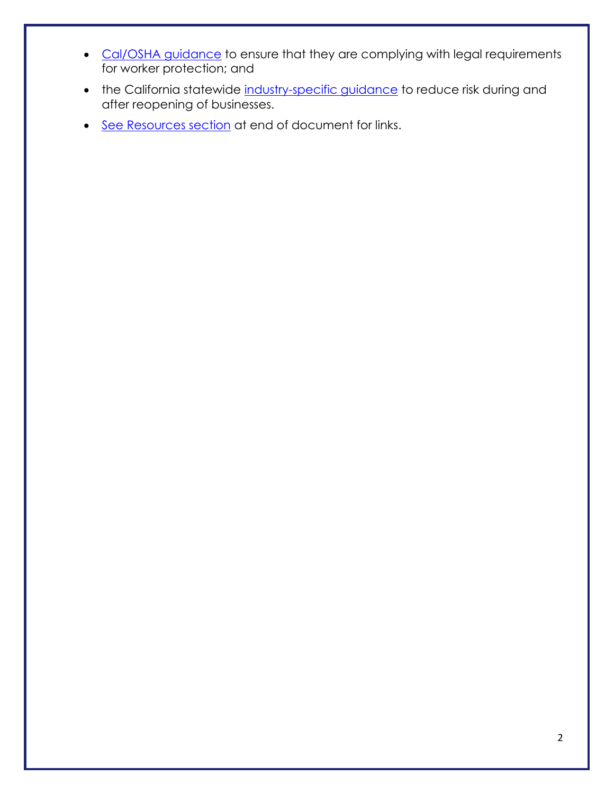- [Cal/OSHA guidance](https://www.dir.ca.gov/dosh/coronavirus/Health-Care-General-Industry.html) to ensure that they are complying with legal requirements for worker protection; and
- the California statewide [industry-specific guidance](https://covid19.ca.gov/industry-guidance/) to reduce risk during and after reopening of businesses.
- [See Resources section](#page-10-0) at end of document for links.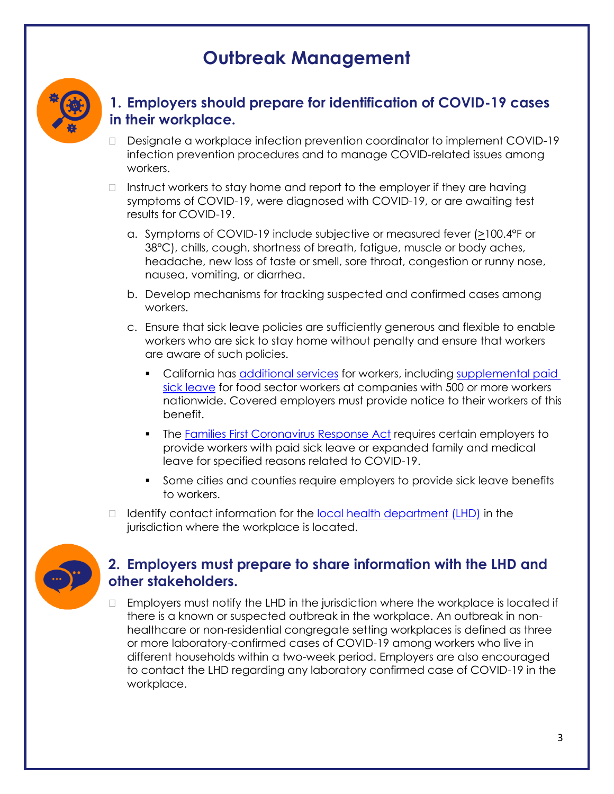## **Outbreak Management**



#### **1. Employers should prepare for identification of COVID-19 cases in their workplace.**

- Designate a workplace infection prevention coordinator to implement COVID-19 infection prevention procedures and to manage COVID-related issues among workers.
- $\Box$  Instruct workers to stay home and report to the employer if they are having symptoms of COVID-19, were diagnosed with COVID-19, or are awaiting test results for COVID-19.
	- a. Symptoms of COVID-19 include subjective or measured fever (>100.4°F or 38°C), chills, cough, shortness of breath, fatigue, muscle or body aches, headache, new loss of taste or smell, sore throat, congestion or runny nose, nausea, vomiting, or diarrhea.
	- b. Develop mechanisms for tracking suspected and confirmed cases among workers.
	- c. Ensure that sick leave policies are sufficiently generous and flexible to enable workers who are sick to stay home without penalty and ensure that workers are aware of such policies.
		- California has **additional services** for workers, including supplemental paid [sick leave](https://www.dir.ca.gov/dlse/FAQ-for-PSL.html) for food sector workers at companies with 500 or more workers nationwide. Covered employers must provide notice to their workers of this benefit.
		- The [Families First Coronavirus Response Act](https://www.dol.gov/agencies/whd/pandemic/ffcra-employee-paid-leave) requires certain employers to provide workers with paid sick leave or expanded family and medical leave for specified reasons related to COVID-19.
		- Some cities and counties require employers to provide sick leave benefits to workers.
- $\Box$  Identify contact information for the [local health department \(LHD\)](https://www.cdph.ca.gov/Pages/LocalHealthServicesAndOffices.aspx) in the jurisdiction where the workplace is located.



## **2. Employers must prepare to share information with the LHD and other stakeholders.**

 $\Box$  Employers must notify the LHD in the jurisdiction where the workplace is located if there is a known or suspected outbreak in the workplace. An outbreak in nonhealthcare or non-residential congregate setting workplaces is defined as three or more laboratory-confirmed cases of COVID-19 among workers who live in different households within a two-week period. Employers are also encouraged to contact the LHD regarding any laboratory confirmed case of COVID-19 in the workplace.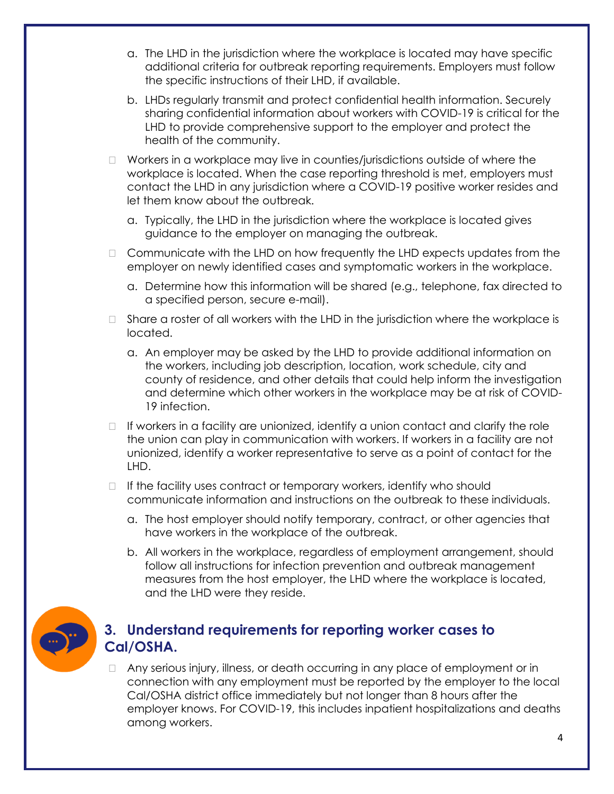- a. The LHD in the jurisdiction where the workplace is located may have specific additional criteria for outbreak reporting requirements. Employers must follow the specific instructions of their LHD, if available.
- b. LHDs regularly transmit and protect confidential health information. Securely sharing confidential information about workers with COVID-19 is critical for the LHD to provide comprehensive support to the employer and protect the health of the community.
- $\Box$  Workers in a workplace may live in counties/jurisdictions outside of where the workplace is located. When the case reporting threshold is met, employers must contact the LHD in any jurisdiction where a COVID-19 positive worker resides and let them know about the outbreak.
	- a. Typically, the LHD in the jurisdiction where the workplace is located gives guidance to the employer on managing the outbreak.
- $\Box$  Communicate with the LHD on how frequently the LHD expects updates from the employer on newly identified cases and symptomatic workers in the workplace.
	- a. Determine how this information will be shared (e.g., telephone, fax directed to a specified person, secure e-mail).
- $\Box$  Share a roster of all workers with the LHD in the jurisdiction where the workplace is located.
	- a. An employer may be asked by the LHD to provide additional information on the workers, including job description, location, work schedule, city and county of residence, and other details that could help inform the investigation and determine which other workers in the workplace may be at risk of COVID-19 infection.
- $\Box$  If workers in a facility are unionized, identify a union contact and clarify the role the union can play in communication with workers. If workers in a facility are not unionized, identify a worker representative to serve as a point of contact for the LHD.
- $\Box$  If the facility uses contract or temporary workers, identify who should communicate information and instructions on the outbreak to these individuals.
	- a. The host employer should notify temporary, contract, or other agencies that have workers in the workplace of the outbreak.
	- b. All workers in the workplace, regardless of employment arrangement, should follow all instructions for infection prevention and outbreak management measures from the host employer, the LHD where the workplace is located, and the LHD were they reside.



#### **3. Understand requirements for reporting worker cases to Cal/OSHA.**

 Any serious injury, illness, or death occurring in any place of employment or in connection with any employment must be reported by the employer to the local Cal/OSHA district office immediately but not longer than 8 hours after the employer knows. For COVID-19, this includes inpatient hospitalizations and deaths among workers.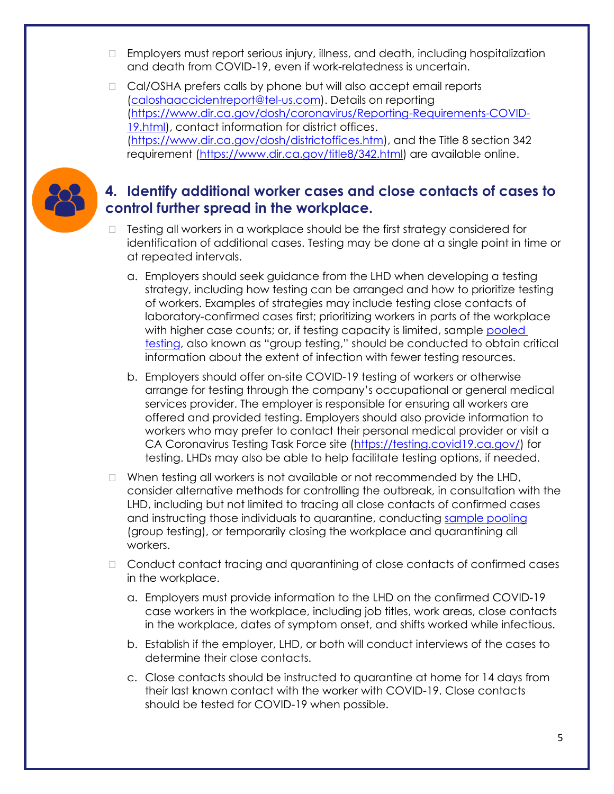- Employers must report serious injury, illness, and death, including hospitalization and death from COVID-19, even if work-relatedness is uncertain.
- □ Cal/OSHA prefers calls by phone but will also accept email reports [\(caloshaaccidentreport@tel-us.com\)](mailto:caloshaaccidentreport@tel-us.com). Details on reporting [\(https://www.dir.ca.gov/dosh/coronavirus/Reporting-Requirements-COVID-](https://www.dir.ca.gov/dosh/coronavirus/Reporting-Requirements-COVID-19.html)[19.html\)](https://www.dir.ca.gov/dosh/coronavirus/Reporting-Requirements-COVID-19.html), contact information for district offices. [\(https://www.dir.ca.gov/dosh/districtoffices.htm\)](https://www.dir.ca.gov/dosh/districtoffices.htm), and the Title 8 section 342 requirement [\(https://www.dir.ca.gov/title8/342.html\)](https://www.dir.ca.gov/title8/342.html) are available online.



## **4. Identify additional worker cases and close contacts of cases to control further spread in the workplace.**

- $\Box$  Testing all workers in a workplace should be the first strategy considered for identification of additional cases. Testing may be done at a single point in time or at repeated intervals.
	- a. Employers should seek guidance from the LHD when developing a testing strategy, including how testing can be arranged and how to prioritize testing of workers. Examples of strategies may include testing close contacts of laboratory-confirmed cases first; prioritizing workers in parts of the workplace with higher case counts; or, if testing capacity is limited, sample [pooled](https://testing.covid19.ca.gov/wp-content/uploads/sites/332/2020/06/COVID-pooling_FINAL-6-24-2020_edited-for-ADA-compliance.pdf)  [testing](https://testing.covid19.ca.gov/wp-content/uploads/sites/332/2020/06/COVID-pooling_FINAL-6-24-2020_edited-for-ADA-compliance.pdf), also known as "group testing," should be conducted to obtain critical information about the extent of infection with fewer testing resources.
	- b. Employers should offer on-site COVID-19 testing of workers or otherwise arrange for testing through the company's occupational or general medical services provider. The employer is responsible for ensuring all workers are offered and provided testing. Employers should also provide information to workers who may prefer to contact their personal medical provider or visit a CA Coronavirus Testing Task Force site [\(https://testing.covid19.ca.gov/\)](https://testing.covid19.ca.gov/) for testing. LHDs may also be able to help facilitate testing options, if needed.
- $\Box$  When testing all workers is not available or not recommended by the LHD, consider alternative methods for controlling the outbreak, in consultation with the LHD, including but not limited to tracing all close contacts of confirmed cases and instructing those individuals to quarantine, conducting [sample pooling](https://testing.covid19.ca.gov/wp-content/uploads/sites/332/2020/06/COVID-pooling_FINAL-6-24-2020_edited-for-ADA-compliance.pdf) (group testing), or temporarily closing the workplace and quarantining all workers.
- □ Conduct contact tracing and quarantining of close contacts of confirmed cases in the workplace.
	- a. Employers must provide information to the LHD on the confirmed COVID-19 case workers in the workplace, including job titles, work areas, close contacts in the workplace, dates of symptom onset, and shifts worked while infectious.
	- b. Establish if the employer, LHD, or both will conduct interviews of the cases to determine their close contacts.
	- c. Close contacts should be instructed to quarantine at home for 14 days from their last known contact with the worker with COVID-19. Close contacts should be tested for COVID-19 when possible.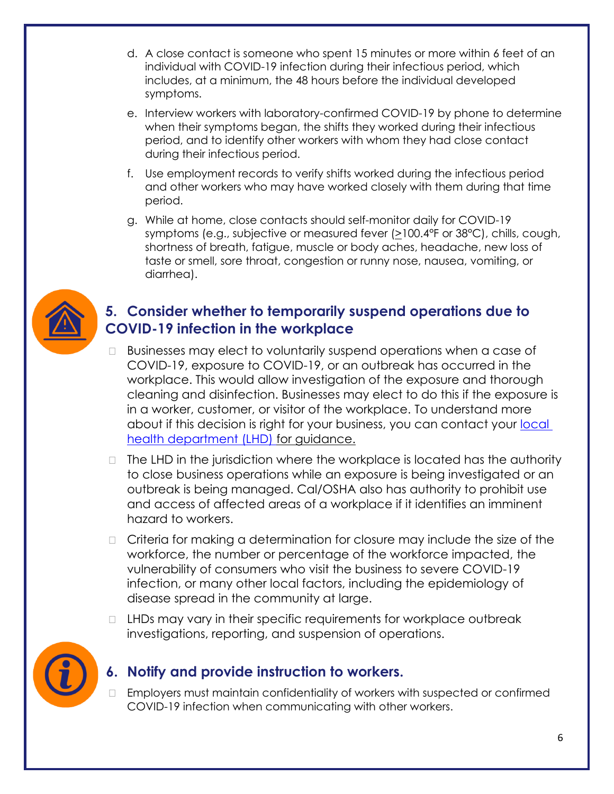- d. A close contact is someone who spent 15 minutes or more within 6 feet of an individual with COVID-19 infection during their infectious period, which includes, at a minimum, the 48 hours before the individual developed symptoms.
- e. Interview workers with laboratory-confirmed COVID-19 by phone to determine when their symptoms began, the shifts they worked during their infectious period, and to identify other workers with whom they had close contact during their infectious period.
- f. Use employment records to verify shifts worked during the infectious period and other workers who may have worked closely with them during that time period.
- g. While at home, close contacts should self-monitor daily for COVID-19 symptoms (e.g., subjective or measured fever (>100.4°F or 38°C), chills, cough, shortness of breath, fatigue, muscle or body aches, headache, new loss of taste or smell, sore throat, congestion or runny nose, nausea, vomiting, or diarrhea).



## **5. Consider whether to temporarily suspend operations due to COVID-19 infection in the workplace**

- $\Box$  Businesses may elect to voluntarily suspend operations when a case of COVID-19, exposure to COVID-19, or an outbreak has occurred in the workplace. This would allow investigation of the exposure and thorough cleaning and disinfection. Businesses may elect to do this if the exposure is in a worker, customer, or visitor of the workplace. To understand more about if this decision is right for your business, you can contact your local [health department \(LHD\)](https://www.cdph.ca.gov/Pages/LocalHealthServicesAndOffices.aspx) for guidance.
- $\Box$  The LHD in the jurisdiction where the workplace is located has the authority to close business operations while an exposure is being investigated or an outbreak is being managed. Cal/OSHA also has authority to prohibit use and access of affected areas of a workplace if it identifies an imminent hazard to workers.
- □ Criteria for making a determination for closure may include the size of the workforce, the number or percentage of the workforce impacted, the vulnerability of consumers who visit the business to severe COVID-19 infection, or many other local factors, including the epidemiology of disease spread in the community at large.
- $\Box$  LHDs may vary in their specific requirements for workplace outbreak investigations, reporting, and suspension of operations.



## **6. Notify and provide instruction to workers.**

 Employers must maintain confidentiality of workers with suspected or confirmed COVID-19 infection when communicating with other workers.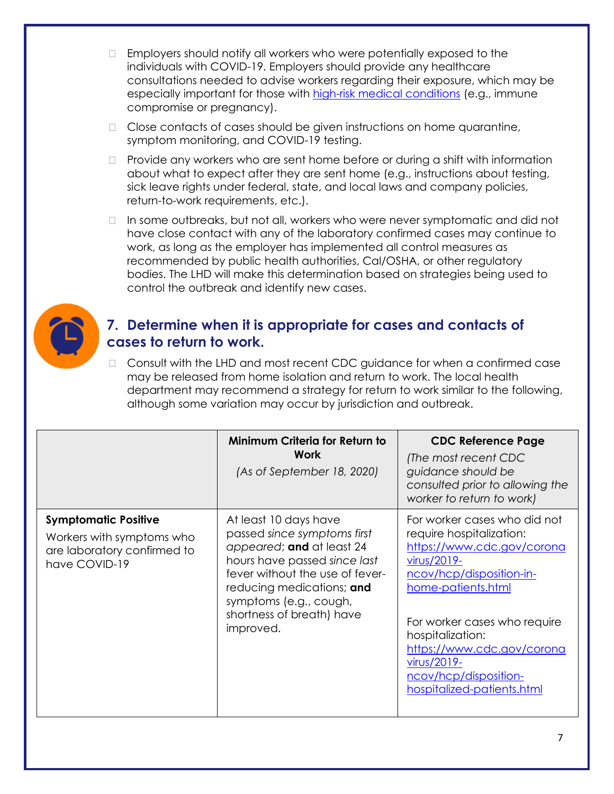- $\Box$  Employers should notify all workers who were potentially exposed to the individuals with COVID-19. Employers should provide any healthcare consultations needed to advise workers regarding their exposure, which may be especially important for those with [high-risk medical conditions](https://www.cdc.gov/coronavirus/2019-ncov/need-extra-precautions/index.html) (e.g., immune compromise or pregnancy).
- $\Box$  Close contacts of cases should be given instructions on home quarantine, symptom monitoring, and COVID-19 testing.
- $\Box$  Provide any workers who are sent home before or during a shift with information about what to expect after they are sent home (e.g., instructions about testing, sick leave rights under federal, state, and local laws and company policies, return-to-work requirements, etc.).
- $\Box$  In some outbreaks, but not all, workers who were never symptomatic and did not have close contact with any of the laboratory confirmed cases may continue to work, as long as the employer has implemented all control measures as recommended by public health authorities, Cal/OSHA, or other regulatory bodies. The LHD will make this determination based on strategies being used to control the outbreak and identify new cases.



#### **7. Determine when it is appropriate for cases and contacts of cases to return to work.**

□ Consult with the LHD and most recent CDC guidance for when a confirmed case may be released from home isolation and return to work. The local health department may recommend a strategy for return to work similar to the following, although some variation may occur by jurisdiction and outbreak.

|                                                                                                          | Minimum Criteria for Return to<br>Work<br>(As of September 18, 2020)                                                                                                                                                                                  | <b>CDC Reference Page</b><br>(The most recent CDC<br>guidance should be<br>consulted prior to allowing the<br>worker to return to work)                                                                                                                                                                         |
|----------------------------------------------------------------------------------------------------------|-------------------------------------------------------------------------------------------------------------------------------------------------------------------------------------------------------------------------------------------------------|-----------------------------------------------------------------------------------------------------------------------------------------------------------------------------------------------------------------------------------------------------------------------------------------------------------------|
| <b>Symptomatic Positive</b><br>Workers with symptoms who<br>are laboratory confirmed to<br>have COVID-19 | At least 10 days have<br>passed since symptoms first<br>appeared; and at least 24<br>hours have passed since last<br>fever without the use of fever-<br>reducing medications; and<br>symptoms (e.g., cough,<br>shortness of breath) have<br>improved. | For worker cases who did not<br>require hospitalization:<br>https://www.cdc.gov/corona<br>virus/2019-<br>ncov/hcp/disposition-in-<br>home-patients.html<br>For worker cases who require<br>hospitalization:<br>https://www.cdc.gov/corona<br>virus/2019-<br>ncov/hcp/disposition-<br>hospitalized-patients.html |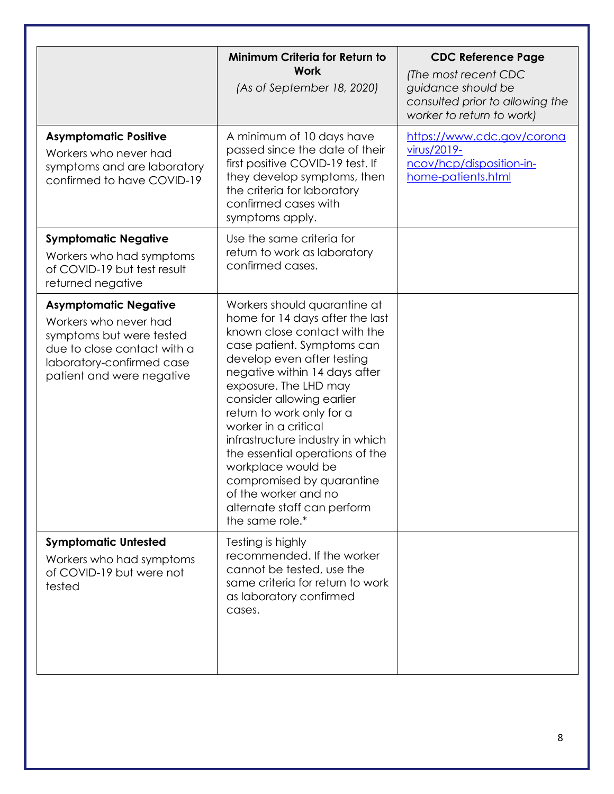|                                                                                                                                                                            | Minimum Criteria for Return to<br><b>Work</b><br>(As of September 18, 2020)                                                                                                                                                                                                                                                                                                                                                                                                                                 | <b>CDC Reference Page</b><br>(The most recent CDC<br>guidance should be<br>consulted prior to allowing the<br>worker to return to work) |
|----------------------------------------------------------------------------------------------------------------------------------------------------------------------------|-------------------------------------------------------------------------------------------------------------------------------------------------------------------------------------------------------------------------------------------------------------------------------------------------------------------------------------------------------------------------------------------------------------------------------------------------------------------------------------------------------------|-----------------------------------------------------------------------------------------------------------------------------------------|
| <b>Asymptomatic Positive</b><br>Workers who never had<br>symptoms and are laboratory<br>confirmed to have COVID-19                                                         | A minimum of 10 days have<br>passed since the date of their<br>first positive COVID-19 test. If<br>they develop symptoms, then<br>the criteria for laboratory<br>confirmed cases with<br>symptoms apply.                                                                                                                                                                                                                                                                                                    | https://www.cdc.gov/corona<br>virus/2019-<br>ncov/hcp/disposition-in-<br>home-patients.html                                             |
| <b>Symptomatic Negative</b><br>Workers who had symptoms<br>of COVID-19 but test result<br>returned negative                                                                | Use the same criteria for<br>return to work as laboratory<br>confirmed cases.                                                                                                                                                                                                                                                                                                                                                                                                                               |                                                                                                                                         |
| <b>Asymptomatic Negative</b><br>Workers who never had<br>symptoms but were tested<br>due to close contact with a<br>laboratory-confirmed case<br>patient and were negative | Workers should quarantine at<br>home for 14 days after the last<br>known close contact with the<br>case patient. Symptoms can<br>develop even after testing<br>negative within 14 days after<br>exposure. The LHD may<br>consider allowing earlier<br>return to work only for a<br>worker in a critical<br>infrastructure industry in which<br>the essential operations of the<br>workplace would be<br>compromised by quarantine<br>of the worker and no<br>alternate staff can perform<br>the same role.* |                                                                                                                                         |
| <b>Symptomatic Untested</b><br>Workers who had symptoms<br>of COVID-19 but were not<br>tested                                                                              | Testing is highly<br>recommended. If the worker<br>cannot be tested, use the<br>same criteria for return to work<br>as laboratory confirmed<br>cases.                                                                                                                                                                                                                                                                                                                                                       |                                                                                                                                         |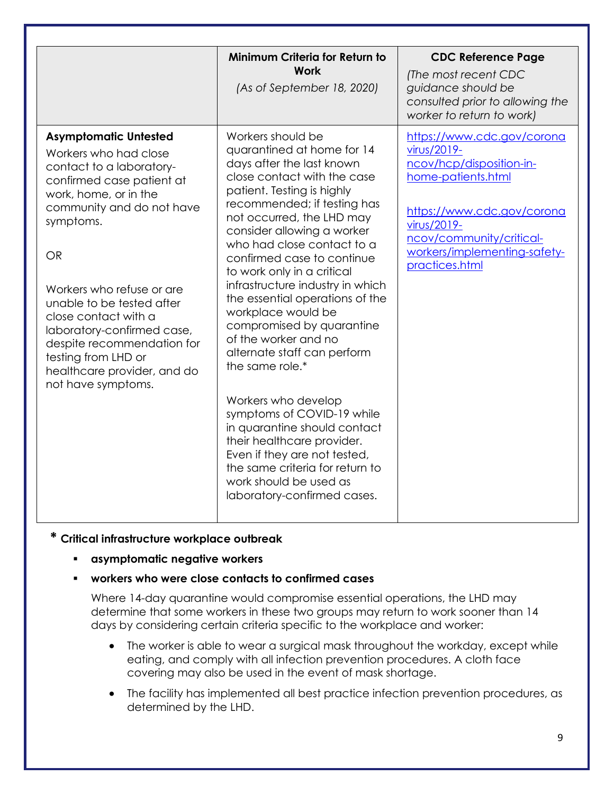|                                                                                                                                                                                                                                                                                                                                                                                                                          | Minimum Criteria for Return to<br><b>Work</b><br>(As of September 18, 2020)                                                                                                                                                                                                                                                                                                                                                                                                                                                                                                                                                                                                                                                                                                      | <b>CDC Reference Page</b><br>(The most recent CDC<br>guidance should be<br>consulted prior to allowing the<br>worker to return to work)                                                                                |
|--------------------------------------------------------------------------------------------------------------------------------------------------------------------------------------------------------------------------------------------------------------------------------------------------------------------------------------------------------------------------------------------------------------------------|----------------------------------------------------------------------------------------------------------------------------------------------------------------------------------------------------------------------------------------------------------------------------------------------------------------------------------------------------------------------------------------------------------------------------------------------------------------------------------------------------------------------------------------------------------------------------------------------------------------------------------------------------------------------------------------------------------------------------------------------------------------------------------|------------------------------------------------------------------------------------------------------------------------------------------------------------------------------------------------------------------------|
| <b>Asymptomatic Untested</b><br>Workers who had close<br>contact to a laboratory-<br>confirmed case patient at<br>work, home, or in the<br>community and do not have<br>symptoms.<br><b>OR</b><br>Workers who refuse or are<br>unable to be tested after<br>close contact with a<br>laboratory-confirmed case,<br>despite recommendation for<br>testing from LHD or<br>healthcare provider, and do<br>not have symptoms. | Workers should be<br>quarantined at home for 14<br>days after the last known<br>close contact with the case<br>patient. Testing is highly<br>recommended; if testing has<br>not occurred, the LHD may<br>consider allowing a worker<br>who had close contact to a<br>confirmed case to continue<br>to work only in a critical<br>infrastructure industry in which<br>the essential operations of the<br>workplace would be<br>compromised by quarantine<br>of the worker and no<br>alternate staff can perform<br>the same role.*<br>Workers who develop<br>symptoms of COVID-19 while<br>in quarantine should contact<br>their healthcare provider.<br>Even if they are not tested,<br>the same criteria for return to<br>work should be used as<br>laboratory-confirmed cases. | https://www.cdc.gov/corona<br>virus/2019-<br>ncov/hcp/disposition-in-<br>home-patients.html<br>https://www.cdc.gov/corona<br>virus/2019-<br>ncov/community/critical-<br>workers/implementing-safety-<br>practices.html |

#### **\* Critical infrastructure workplace outbreak**

▪ **asymptomatic negative workers**

#### ▪ **workers who were close contacts to confirmed cases**

Where 14-day quarantine would compromise essential operations, the LHD may determine that some workers in these two groups may return to work sooner than 14 days by considering certain criteria specific to the workplace and worker:

- The worker is able to wear a surgical mask throughout the workday, except while eating, and comply with all infection prevention procedures. A cloth face covering may also be used in the event of mask shortage.
- The facility has implemented all best practice infection prevention procedures, as determined by the LHD.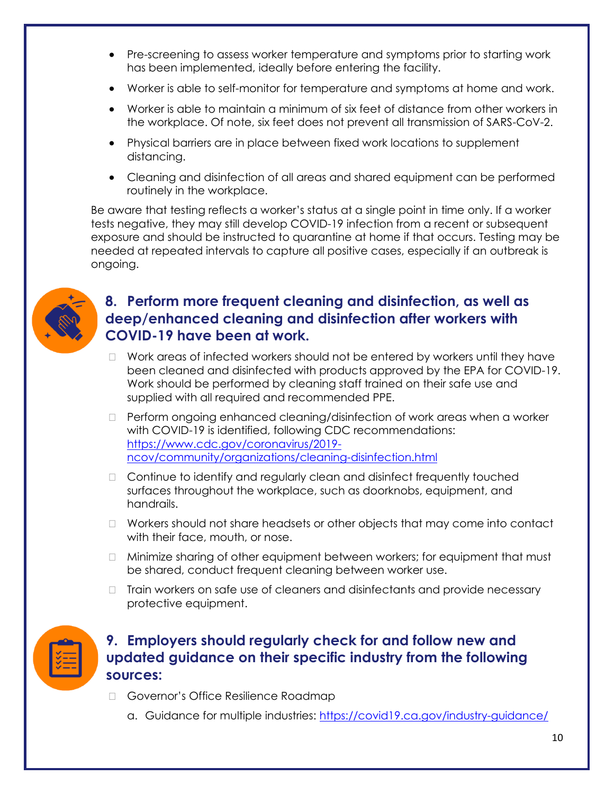- Pre-screening to assess worker temperature and symptoms prior to starting work has been implemented, ideally before entering the facility.
- Worker is able to self-monitor for temperature and symptoms at home and work.
- Worker is able to maintain a minimum of six feet of distance from other workers in the workplace. Of note, six feet does not prevent all transmission of SARS-CoV-2.
- Physical barriers are in place between fixed work locations to supplement distancing.
- Cleaning and disinfection of all areas and shared equipment can be performed routinely in the workplace.

Be aware that testing reflects a worker's status at a single point in time only. If a worker tests negative, they may still develop COVID-19 infection from a recent or subsequent exposure and should be instructed to quarantine at home if that occurs. Testing may be needed at repeated intervals to capture all positive cases, especially if an outbreak is ongoing.



## **8. Perform more frequent cleaning and disinfection, as well as deep/enhanced cleaning and disinfection after workers with COVID-19 have been at work.**

- $\Box$  Work areas of infected workers should not be entered by workers until they have been cleaned and disinfected with products approved by the EPA for COVID-19. Work should be performed by cleaning staff trained on their safe use and supplied with all required and recommended PPE.
- □ Perform ongoing enhanced cleaning/disinfection of work areas when a worker with COVID-19 is identified, following CDC recommendations: [https://www.cdc.gov/coronavirus/2019](https://www.cdc.gov/coronavirus/2019-ncov/community/organizations/cleaning-disinfection.html) [ncov/community/organizations/cleaning-disinfection.html](https://www.cdc.gov/coronavirus/2019-ncov/community/organizations/cleaning-disinfection.html)
- □ Continue to identify and regularly clean and disinfect frequently touched surfaces throughout the workplace, such as doorknobs, equipment, and handrails.
- □ Workers should not share headsets or other objects that may come into contact with their face, mouth, or nose.
- □ Minimize sharing of other equipment between workers; for equipment that must be shared, conduct frequent cleaning between worker use.
- $\Box$  Train workers on safe use of cleaners and disinfectants and provide necessary protective equipment.



## **9. Employers should regularly check for and follow new and updated guidance on their specific industry from the following sources:**

- □ Governor's Office Resilience Roadmap
	- a. Guidance for multiple industries:<https://covid19.ca.gov/industry-guidance/>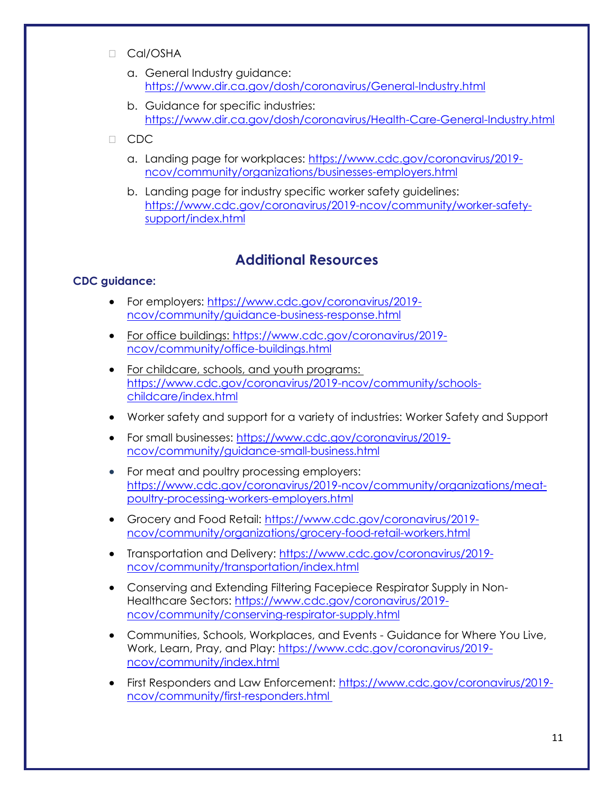- □ Cal/OSHA
	- a. General Industry guidance: <https://www.dir.ca.gov/dosh/coronavirus/General-Industry.html>
	- b. Guidance for specific industries: <https://www.dir.ca.gov/dosh/coronavirus/Health-Care-General-Industry.html>
- □ CDC
	- a. Landing page for workplaces: [https://www.cdc.gov/coronavirus/2019](https://www.cdc.gov/coronavirus/2019-ncov/community/organizations/businesses-employers.html) [ncov/community/organizations/businesses-employers.html](https://www.cdc.gov/coronavirus/2019-ncov/community/organizations/businesses-employers.html)
	- b. Landing page for industry specific worker safety guidelines: [https://www.cdc.gov/coronavirus/2019-ncov/community/worker-safety](https://www.cdc.gov/coronavirus/2019-ncov/community/worker-safety-support/index.html)[support/index.html](https://www.cdc.gov/coronavirus/2019-ncov/community/worker-safety-support/index.html)

## **Additional Resources**

#### <span id="page-10-0"></span>**CDC guidance:**

- For employers: [https://www.cdc.gov/coronavirus/2019](https://www.cdc.gov/coronavirus/2019-ncov/community/guidance-business-response.html) [ncov/community/guidance-business-response.html](https://www.cdc.gov/coronavirus/2019-ncov/community/guidance-business-response.html)
- For office buildings: [https://www.cdc.gov/coronavirus/2019](https://www.cdc.gov/coronavirus/2019-ncov/community/office-buildings.html) [ncov/community/office-buildings.html](https://www.cdc.gov/coronavirus/2019-ncov/community/office-buildings.html)
- For childcare, schools, and youth programs: [https://www.cdc.gov/coronavirus/2019-ncov/community/schools](https://www.cdc.gov/coronavirus/2019-ncov/community/schools-childcare/index.html)[childcare/index.html](https://www.cdc.gov/coronavirus/2019-ncov/community/schools-childcare/index.html)
- Worker safety and support for a variety of industries: Worker Safety and Support
- For small businesses: [https://www.cdc.gov/coronavirus/2019](https://www.cdc.gov/coronavirus/2019-ncov/community/guidance-small-business.html) [ncov/community/guidance-small-business.html](https://www.cdc.gov/coronavirus/2019-ncov/community/guidance-small-business.html)
- For meat and poultry processing employers: [https://www.cdc.gov/coronavirus/2019-ncov/community/organizations/meat](https://www.cdc.gov/coronavirus/2019-ncov/community/organizations/meat-poultry-processing-workers-employers.html)[poultry-processing-workers-employers.html](https://www.cdc.gov/coronavirus/2019-ncov/community/organizations/meat-poultry-processing-workers-employers.html)
- Grocery and Food Retail: [https://www.cdc.gov/coronavirus/2019](https://www.cdc.gov/coronavirus/2019-ncov/community/organizations/grocery-food-retail-workers.html) [ncov/community/organizations/grocery-food-retail-workers.html](https://www.cdc.gov/coronavirus/2019-ncov/community/organizations/grocery-food-retail-workers.html)
- Transportation and Delivery: [https://www.cdc.gov/coronavirus/2019](https://www.cdc.gov/coronavirus/2019-ncov/community/transportation/index.html) [ncov/community/transportation/index.html](https://www.cdc.gov/coronavirus/2019-ncov/community/transportation/index.html)
- Conserving and Extending Filtering Facepiece Respirator Supply in Non-Healthcare Sectors: [https://www.cdc.gov/coronavirus/2019](https://www.cdc.gov/coronavirus/2019-ncov/community/conserving-respirator-supply.html) [ncov/community/conserving-respirator-supply.html](https://www.cdc.gov/coronavirus/2019-ncov/community/conserving-respirator-supply.html)
- Communities, Schools, Workplaces, and Events Guidance for Where You Live, Work, Learn, Pray, and Play: [https://www.cdc.gov/coronavirus/2019](https://www.cdc.gov/coronavirus/2019-ncov/community/index.html) [ncov/community/index.html](https://www.cdc.gov/coronavirus/2019-ncov/community/index.html)
- First Responders and Law Enforcement: [https://www.cdc.gov/coronavirus/2019](https://www.cdc.gov/coronavirus/2019-ncov/community/first-responders.html) [ncov/community/first-responders.html](https://www.cdc.gov/coronavirus/2019-ncov/community/first-responders.html)